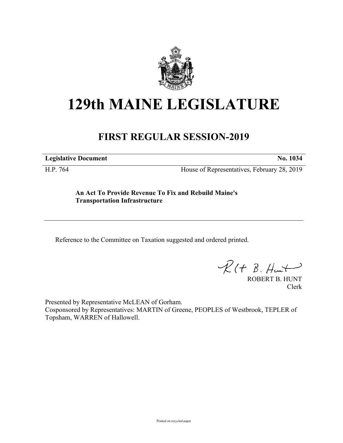

# **129th MAINE LEGISLATURE**

# **FIRST REGULAR SESSION-2019**

**Legislative Document No. 1034**

H.P. 764 House of Representatives, February 28, 2019

**An Act To Provide Revenue To Fix and Rebuild Maine's Transportation Infrastructure**

Reference to the Committee on Taxation suggested and ordered printed.

 $R(t B. Hmt)$ 

ROBERT B. HUNT Clerk

Presented by Representative McLEAN of Gorham. Cosponsored by Representatives: MARTIN of Greene, PEOPLES of Westbrook, TEPLER of Topsham, WARREN of Hallowell.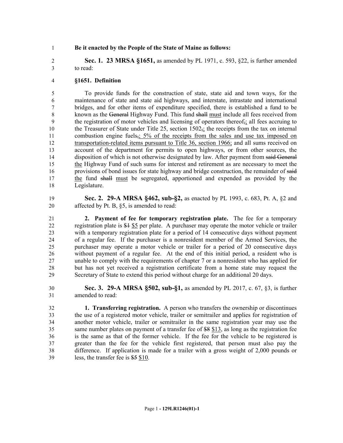# **Be it enacted by the People of the State of Maine as follows:**

 **Sec. 1. 23 MRSA §1651,** as amended by PL 1971, c. 593, §22, is further amended to read:

# **§1651. Definition**

 To provide funds for the construction of state, state aid and town ways, for the maintenance of state and state aid highways, and interstate, intrastate and international bridges, and for other items of expenditure specified, there is established a fund to be known as the General Highway Fund. This fund shall must include all fees received from 9 the registration of motor vehicles and licensing of operators thereof<sub>5</sub>; all fees accruing to 10 the Treasurer of State under Title 25, section  $1502_{\overline{2}i}$  the receipts from the tax on internal 11 combustion engine fuels,; 5% of the receipts from the sales and use tax imposed on transportation-related items pursuant to Title 36, section 1966; and all sums received on account of the department for permits to open highways, or from other sources, the 14 disposition of which is not otherwise designated by law. After payment from said General the Highway Fund of such sums for interest and retirement as are necessary to meet the 16 provisions of bond issues for state highway and bridge construction, the remainder of said the fund shall must be segregated, apportioned and expended as provided by the Legislature.

 **Sec. 2. 29-A MRSA §462, sub-§2,** as enacted by PL 1993, c. 683, Pt. A, §2 and affected by Pt. B, §5, is amended to read:

 **2. Payment of fee for temporary registration plate.** The fee for a temporary registration plate is \$1 \$5 per plate. A purchaser may operate the motor vehicle or trailer with a temporary registration plate for a period of 14 consecutive days without payment of a regular fee. If the purchaser is a nonresident member of the Armed Services, the purchaser may operate a motor vehicle or trailer for a period of 20 consecutive days without payment of a regular fee. At the end of this initial period, a resident who is unable to comply with the requirements of chapter 7 or a nonresident who has applied for but has not yet received a registration certificate from a home state may request the Secretary of State to extend this period without charge for an additional 20 days.

 **Sec. 3. 29-A MRSA §502, sub-§1,** as amended by PL 2017, c. 67, §3, is further amended to read:

 **1. Transferring registration.** A person who transfers the ownership or discontinues the use of a registered motor vehicle, trailer or semitrailer and applies for registration of another motor vehicle, trailer or semitrailer in the same registration year may use the same number plates on payment of a transfer fee of \$8 \$13, as long as the registration fee is the same as that of the former vehicle. If the fee for the vehicle to be registered is greater than the fee for the vehicle first registered, that person must also pay the difference. If application is made for a trailer with a gross weight of 2,000 pounds or less, the transfer fee is \$5 \$10.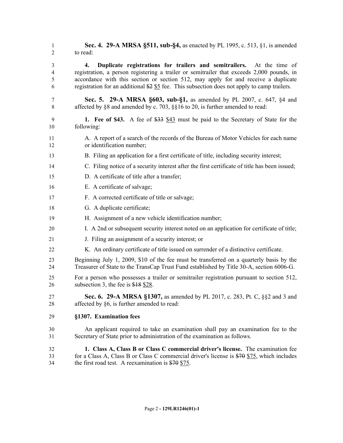**Sec. 4. 29-A MRSA §511, sub-§4,** as enacted by PL 1995, c. 513, §1, is amended to read:

 **4. Duplicate registrations for trailers and semitrailers.** At the time of registration, a person registering a trailer or semitrailer that exceeds 2,000 pounds, in accordance with this section or section 512, may apply for and receive a duplicate registration for an additional \$2 \$5 fee. This subsection does not apply to camp trailers.

- **Sec. 5. 29-A MRSA §603, sub-§1,** as amended by PL 2007, c. 647, §4 and 8 affected by §8 and amended by c. 703, §§16 to 20, is further amended to read:
- **1. Fee of \$43.** A fee of \$33 \$43 must be paid to the Secretary of State for the following:
- A. A report of a search of the records of the Bureau of Motor Vehicles for each name or identification number;
- B. Filing an application for a first certificate of title, including security interest;
- C. Filing notice of a security interest after the first certificate of title has been issued;
- D. A certificate of title after a transfer;
- E. A certificate of salvage;
- F. A corrected certificate of title or salvage;
- G. A duplicate certificate;
- H. Assignment of a new vehicle identification number;
- I. A 2nd or subsequent security interest noted on an application for certificate of title;
- J. Filing an assignment of a security interest; or
- K. An ordinary certificate of title issued on surrender of a distinctive certificate.
- Beginning July 1, 2009, \$10 of the fee must be transferred on a quarterly basis by the Treasurer of State to the TransCap Trust Fund established by Title 30-A, section 6006-G.
- For a person who possesses a trailer or semitrailer registration pursuant to section 512, 26 subsection 3, the fee is \$18 \$28.
- **Sec. 6. 29-A MRSA §1307,** as amended by PL 2017, c. 283, Pt. C, §§2 and 3 and affected by §6, is further amended to read:
- **§1307. Examination fees**
- An applicant required to take an examination shall pay an examination fee to the Secretary of State prior to administration of the examination as follows.
- **1. Class A, Class B or Class C commercial driver's license.** The examination fee for a Class A, Class B or Class C commercial driver's license is \$70 \$75, which includes the first road test. A reexamination is \$70 \$75.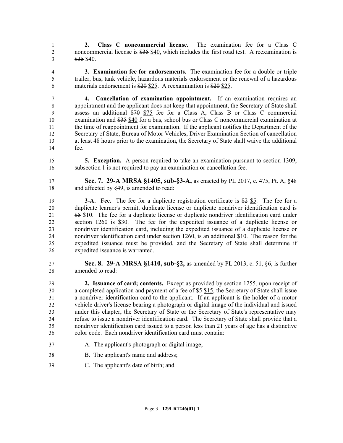**2. Class C noncommercial license.** The examination fee for a Class C noncommercial license is \$35 \$40, which includes the first road test. A reexamination is \$35 \$40.

 **3. Examination fee for endorsements.** The examination fee for a double or triple trailer, bus, tank vehicle, hazardous materials endorsement or the renewal of a hazardous materials endorsement is \$20 \$25. A reexamination is \$20 \$25.

 **4. Cancellation of examination appointment.** If an examination requires an appointment and the applicant does not keep that appointment, the Secretary of State shall assess an additional \$70 \$75 fee for a Class A, Class B or Class C commercial examination and \$35 \$40 for a bus, school bus or Class C noncommercial examination at the time of reappointment for examination. If the applicant notifies the Department of the Secretary of State, Bureau of Motor Vehicles, Driver Examination Section of cancellation at least 48 hours prior to the examination, the Secretary of State shall waive the additional fee.

 **5. Exception.** A person required to take an examination pursuant to section 1309, subsection 1 is not required to pay an examination or cancellation fee.

 **Sec. 7. 29-A MRSA §1405, sub-§3-A,** as enacted by PL 2017, c. 475, Pt. A, §48 18 and affected by §49, is amended to read:

 **3-A. Fee.** The fee for a duplicate registration certificate is \$2 \$5. The fee for a duplicate learner's permit, duplicate license or duplicate nondriver identification card is 21 \$5 \$10. The fee for a duplicate license or duplicate nondriver identification card under section 1260 is \$30. The fee for the expedited issuance of a duplicate license or nondriver identification card, including the expedited issuance of a duplicate license or nondriver identification card under section 1260, is an additional \$10. The reason for the expedited issuance must be provided, and the Secretary of State shall determine if expedited issuance is warranted.

 **Sec. 8. 29-A MRSA §1410, sub-§2,** as amended by PL 2013, c. 51, §6, is further amended to read:

 **2. Issuance of card; contents.** Except as provided by section 1255, upon receipt of a completed application and payment of a fee of \$5 \$15, the Secretary of State shall issue a nondriver identification card to the applicant. If an applicant is the holder of a motor vehicle driver's license bearing a photograph or digital image of the individual and issued under this chapter, the Secretary of State or the Secretary of State's representative may refuse to issue a nondriver identification card. The Secretary of State shall provide that a nondriver identification card issued to a person less than 21 years of age has a distinctive color code. Each nondriver identification card must contain:

- A. The applicant's photograph or digital image;
- B. The applicant's name and address;
- C. The applicant's date of birth; and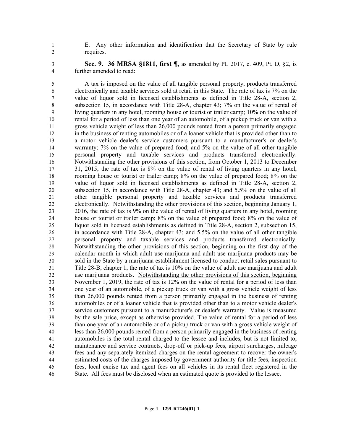E. Any other information and identification that the Secretary of State by rule requires.

 **Sec. 9. 36 MRSA §1811, first ¶,** as amended by PL 2017, c. 409, Pt. D, §2, is further amended to read:

 A tax is imposed on the value of all tangible personal property, products transferred electronically and taxable services sold at retail in this State. The rate of tax is 7% on the value of liquor sold in licensed establishments as defined in Title 28-A, section 2, subsection 15, in accordance with Title 28-A, chapter 43; 7% on the value of rental of living quarters in any hotel, rooming house or tourist or trailer camp; 10% on the value of rental for a period of less than one year of an automobile, of a pickup truck or van with a gross vehicle weight of less than 26,000 pounds rented from a person primarily engaged in the business of renting automobiles or of a loaner vehicle that is provided other than to a motor vehicle dealer's service customers pursuant to a manufacturer's or dealer's warranty; 7% on the value of prepared food; and 5% on the value of all other tangible personal property and taxable services and products transferred electronically. Notwithstanding the other provisions of this section, from October 1, 2013 to December 31, 2015, the rate of tax is 8% on the value of rental of living quarters in any hotel, rooming house or tourist or trailer camp; 8% on the value of prepared food; 8% on the value of liquor sold in licensed establishments as defined in Title 28-A, section 2, subsection 15, in accordance with Title 28-A, chapter 43; and 5.5% on the value of all other tangible personal property and taxable services and products transferred electronically. Notwithstanding the other provisions of this section, beginning January 1, 2016, the rate of tax is 9% on the value of rental of living quarters in any hotel, rooming house or tourist or trailer camp; 8% on the value of prepared food; 8% on the value of liquor sold in licensed establishments as defined in Title 28-A, section 2, subsection 15, in accordance with Title 28-A, chapter 43; and 5.5% on the value of all other tangible personal property and taxable services and products transferred electronically. Notwithstanding the other provisions of this section, beginning on the first day of the calendar month in which adult use marijuana and adult use marijuana products may be sold in the State by a marijuana establishment licensed to conduct retail sales pursuant to Title 28-B, chapter 1, the rate of tax is 10% on the value of adult use marijuana and adult use marijuana products. Notwithstanding the other provisions of this section, beginning November 1, 2019, the rate of tax is 12% on the value of rental for a period of less than one year of an automobile, of a pickup truck or van with a gross vehicle weight of less than 26,000 pounds rented from a person primarily engaged in the business of renting automobiles or of a loaner vehicle that is provided other than to a motor vehicle dealer's service customers pursuant to a manufacturer's or dealer's warranty. Value is measured by the sale price, except as otherwise provided. The value of rental for a period of less than one year of an automobile or of a pickup truck or van with a gross vehicle weight of less than 26,000 pounds rented from a person primarily engaged in the business of renting automobiles is the total rental charged to the lessee and includes, but is not limited to, maintenance and service contracts, drop-off or pick-up fees, airport surcharges, mileage fees and any separately itemized charges on the rental agreement to recover the owner's estimated costs of the charges imposed by government authority for title fees, inspection fees, local excise tax and agent fees on all vehicles in its rental fleet registered in the State. All fees must be disclosed when an estimated quote is provided to the lessee.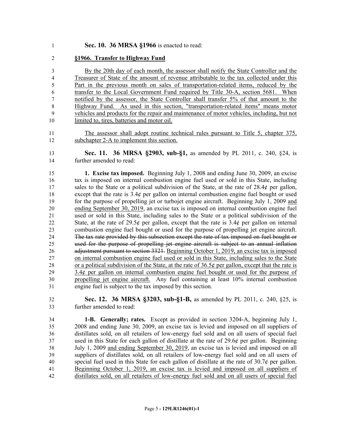#### **Sec. 10. 36 MRSA §1966** is enacted to read:

# **§1966. Transfer to Highway Fund**

 By the 20th day of each month, the assessor shall notify the State Controller and the Treasurer of State of the amount of revenue attributable to the tax collected under this Part in the previous month on sales of transportation-related items, reduced by the transfer to the Local Government Fund required by Title 30-A, section 5681. When notified by the assessor, the State Controller shall transfer 5% of that amount to the Highway Fund. As used in this section, "transportation-related items" means motor vehicles and products for the repair and maintenance of motor vehicles, including, but not limited to, tires, batteries and motor oil.

 The assessor shall adopt routine technical rules pursuant to Title 5, chapter 375, subchapter 2-A to implement this section.

 **Sec. 11. 36 MRSA §2903, sub-§1,** as amended by PL 2011, c. 240, §24, is further amended to read:

 **1. Excise tax imposed.** Beginning July 1, 2008 and ending June 30, 2009, an excise tax is imposed on internal combustion engine fuel used or sold in this State, including sales to the State or a political subdivision of the State, at the rate of 28.4¢ per gallon, except that the rate is 3.4¢ per gallon on internal combustion engine fuel bought or used for the purpose of propelling jet or turbojet engine aircraft. Beginning July 1, 2009 and ending September 30, 2019, an excise tax is imposed on internal combustion engine fuel used or sold in this State, including sales to the State or a political subdivision of the 22 State, at the rate of 29.5 $\acute{\text{e}}$  per gallon, except that the rate is 3.4 $\acute{\text{e}}$  per gallon on internal combustion engine fuel bought or used for the purpose of propelling jet engine aircraft. The tax rate provided by this subsection except the rate of tax imposed on fuel bought or used for the purpose of propelling jet engine aircraft is subject to an annual inflation 26 adjustment pursuant to section 3321. Beginning October 1, 2019, an excise tax is imposed on internal combustion engine fuel used or sold in this State, including sales to the State 28 or a political subdivision of the State, at the rate of  $36.5¢$  per gallon, except that the rate is 3.4 $\phi$  per gallon on internal combustion engine fuel bought or used for the purpose of propelling jet engine aircraft. Any fuel containing at least 10% internal combustion engine fuel is subject to the tax imposed by this section.

 **Sec. 12. 36 MRSA §3203, sub-§1-B,** as amended by PL 2011, c. 240, §25, is further amended to read:

 **1-B. Generally; rates.** Except as provided in section 3204-A, beginning July 1, 2008 and ending June 30, 2009, an excise tax is levied and imposed on all suppliers of distillates sold, on all retailers of low-energy fuel sold and on all users of special fuel used in this State for each gallon of distillate at the rate of 29.6¢ per gallon. Beginning July 1, 2009 and ending September 30, 2019, an excise tax is levied and imposed on all suppliers of distillates sold, on all retailers of low-energy fuel sold and on all users of special fuel used in this State for each gallon of distillate at the rate of 30.7¢ per gallon. Beginning October 1, 2019, an excise tax is levied and imposed on all suppliers of distillates sold, on all retailers of low-energy fuel sold and on all users of special fuel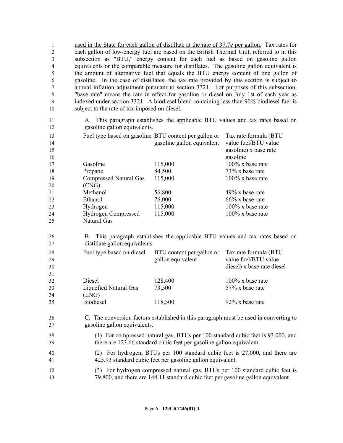1 used in the State for each gallon of distillate at the rate of  $37.7\phi$  per gallon. Tax rates for each gallon of low-energy fuel are based on the British Thermal Unit, referred to in this subsection as "BTU," energy content for each fuel as based on gasoline gallon equivalents or the comparable measure for distillates. The gasoline gallon equivalent is the amount of alternative fuel that equals the BTU energy content of one gallon of gasoline. In the case of distillates, the tax rate provided by this section is subject to annual inflation adjustment pursuant to section 3321. For purposes of this subsection, "base rate" means the rate in effect for gasoline or diesel on July 1st of each year as indexed under section 3321. A biodiesel blend containing less than 90% biodiesel fuel is subject to the rate of tax imposed on diesel.

# 11 A. This paragraph establishes the applicable BTU values and tax rates based on 12 gasoline gallon equivalents.

| 13 | Fuel type based on gasoline BTU content per gallon or |                            | Tax rate formula (BTU |
|----|-------------------------------------------------------|----------------------------|-----------------------|
| 14 |                                                       | gasoline gallon equivalent | value fuel/BTU value  |
| 15 |                                                       |                            | gasoline) x base rate |
| 16 |                                                       |                            | gasoline              |
| 17 | Gasoline                                              | 115,000                    | $100\%$ x base rate   |
| 18 | Propane                                               | 84,500                     | $73\%$ x base rate    |
| 19 | <b>Compressed Natural Gas</b>                         | 115,000                    | $100\%$ x base rate   |
| 20 | (CNG)                                                 |                            |                       |
| 21 | Methanol                                              | 56,800                     | $49\%$ x base rate    |
| 22 | Ethanol                                               | 76,000                     | $66\%$ x base rate    |
| 23 | Hydrogen                                              | 115,000                    | $100\%$ x base rate   |
| 24 | <b>Hydrogen Compressed</b>                            | 115,000                    | $100\%$ x base rate   |
| 25 | Natural Gas                                           |                            |                       |

# 26 B. This paragraph establishes the applicable BTU values and tax rates based on 27 distillate gallon equivalents.

| 28 | Fuel type based on diesel | BTU content per gallon or | Tax rate formula (BTU      |
|----|---------------------------|---------------------------|----------------------------|
| 29 |                           | gallon equivalent         | value fuel/BTU value       |
| 30 |                           |                           | diesel) x base rate diesel |
| 31 |                           |                           |                            |
| 32 | Diesel                    | 128,400                   | $100\%$ x base rate        |
| 33 | Liquefied Natural Gas     | 73,500                    | 57% x base rate            |
| 34 | (LNG)                     |                           |                            |
| 35 | <b>Biodiesel</b>          | 118,300                   | 92% x base rate            |

# 36 C. The conversion factors established in this paragraph must be used in converting to 37 gasoline gallon equivalents.

# 38 (1) For compressed natural gas, BTUs per 100 standard cubic feet is 93,000, and 39 there are 123.66 standard cubic feet per gasoline gallon equivalent.

# 40 (2) For hydrogen, BTUs per 100 standard cubic feet is 27,000, and there are 41 425.93 standard cubic feet per gasoline gallon equivalent.

# 42 (3) For hydrogen compressed natural gas, BTUs per 100 standard cubic feet is 43 79,800, and there are 144.11 standard cubic feet per gasoline gallon equivalent.